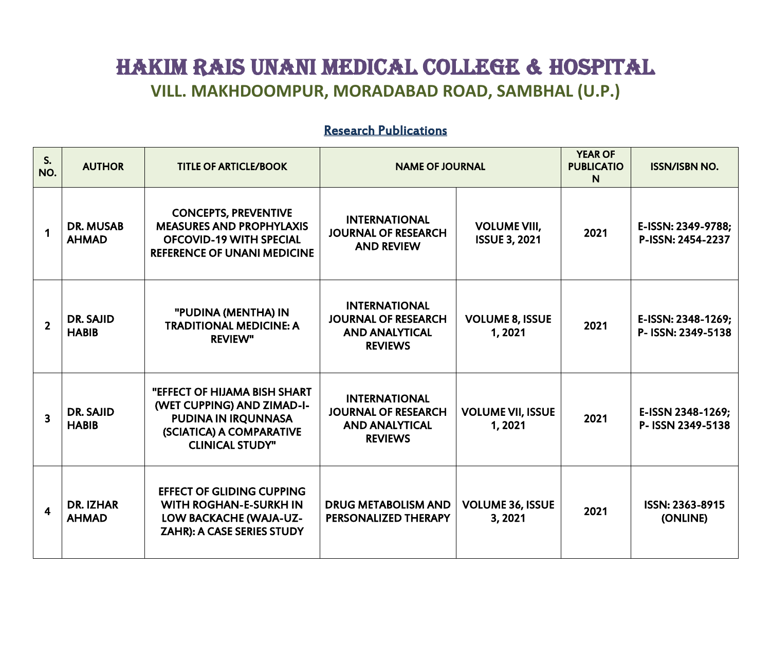## HAKIM RAIS UNANI MEDICAL COLLEGE & HOSPITAL **VILL. MAKHDOOMPUR, MORADABAD ROAD, SAMBHAL (U.P.)**

## Research Publications

| S.<br>NO.               | <b>AUTHOR</b>                    | <b>TITLE OF ARTICLE/BOOK</b>                                                                                                                   | <b>NAME OF JOURNAL</b>                                                                        |                                             | <b>YEAR OF</b><br><b>PUBLICATIO</b><br>N | <b>ISSN/ISBN NO.</b>                     |
|-------------------------|----------------------------------|------------------------------------------------------------------------------------------------------------------------------------------------|-----------------------------------------------------------------------------------------------|---------------------------------------------|------------------------------------------|------------------------------------------|
| $\mathbf 1$             | <b>DR. MUSAB</b><br><b>AHMAD</b> | <b>CONCEPTS, PREVENTIVE</b><br><b>MEASURES AND PROPHYLAXIS</b><br><b>OFCOVID-19 WITH SPECIAL</b><br><b>REFERENCE OF UNANI MEDICINE</b>         | <b>INTERNATIONAL</b><br><b>JOURNAL OF RESEARCH</b><br><b>AND REVIEW</b>                       | <b>VOLUME VIII,</b><br><b>ISSUE 3, 2021</b> | 2021                                     | E-ISSN: 2349-9788;<br>P-ISSN: 2454-2237  |
| $\overline{2}$          | DR. SAJID<br><b>HABIB</b>        | "PUDINA (MENTHA) IN<br><b>TRADITIONAL MEDICINE: A</b><br><b>REVIEW"</b>                                                                        | <b>INTERNATIONAL</b><br><b>JOURNAL OF RESEARCH</b><br><b>AND ANALYTICAL</b><br><b>REVIEWS</b> | <b>VOLUME 8, ISSUE</b><br>1,2021            | 2021                                     | E-ISSN: 2348-1269;<br>P- ISSN: 2349-5138 |
| $\overline{\mathbf{3}}$ | <b>DR. SAJID</b><br><b>HABIB</b> | <b>"EFFECT OF HIJAMA BISH SHART</b><br>(WET CUPPING) AND ZIMAD-I-<br>PUDINA IN IRQUNNASA<br>(SCIATICA) A COMPARATIVE<br><b>CLINICAL STUDY"</b> | <b>INTERNATIONAL</b><br><b>JOURNAL OF RESEARCH</b><br><b>AND ANALYTICAL</b><br><b>REVIEWS</b> | <b>VOLUME VII, ISSUE</b><br>1,2021          | 2021                                     | E-ISSN 2348-1269;<br>P- ISSN 2349-5138   |
| 4                       | <b>DR. IZHAR</b><br><b>AHMAD</b> | <b>EFFECT OF GLIDING CUPPING</b><br><b>WITH ROGHAN-E-SURKH IN</b><br>LOW BACKACHE (WAJA-UZ-<br><b>ZAHR): A CASE SERIES STUDY</b>               | <b>DRUG METABOLISM AND</b><br>PERSONALIZED THERAPY                                            | <b>VOLUME 36, ISSUE</b><br>3,2021           | 2021                                     | ISSN: 2363-8915<br>(ONLINE)              |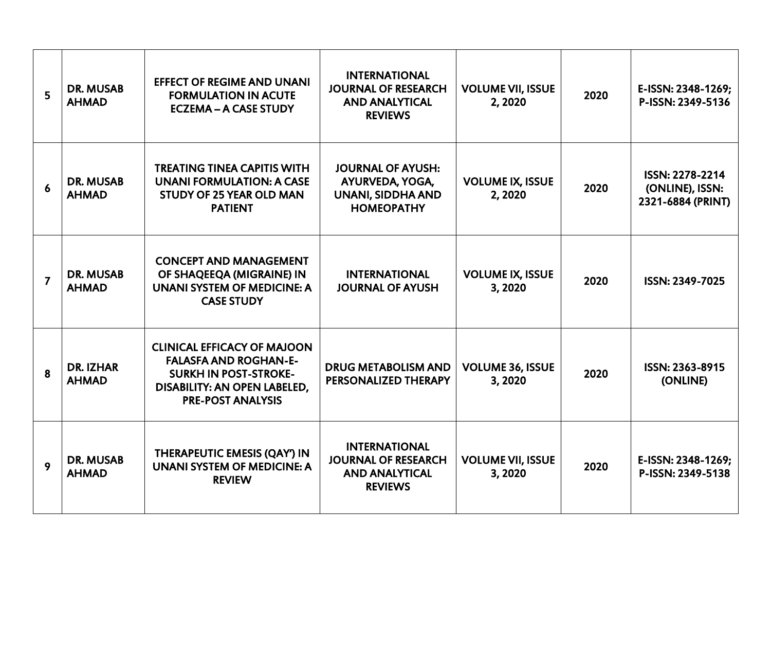| 5              | <b>DR. MUSAB</b><br><b>AHMAD</b> | <b>EFFECT OF REGIME AND UNANI</b><br><b>FORMULATION IN ACUTE</b><br><b>ECZEMA - A CASE STUDY</b>                                                               | <b>INTERNATIONAL</b><br><b>JOURNAL OF RESEARCH</b><br><b>AND ANALYTICAL</b><br><b>REVIEWS</b> | <b>VOLUME VII, ISSUE</b><br>2,2020 | 2020 | E-ISSN: 2348-1269;<br>P-ISSN: 2349-5136                 |
|----------------|----------------------------------|----------------------------------------------------------------------------------------------------------------------------------------------------------------|-----------------------------------------------------------------------------------------------|------------------------------------|------|---------------------------------------------------------|
| 6              | <b>DR. MUSAB</b><br><b>AHMAD</b> | <b>TREATING TINEA CAPITIS WITH</b><br><b>UNANI FORMULATION: A CASE</b><br><b>STUDY OF 25 YEAR OLD MAN</b><br><b>PATIENT</b>                                    | <b>JOURNAL OF AYUSH:</b><br>AYURVEDA, YOGA,<br><b>UNANI, SIDDHA AND</b><br><b>HOMEOPATHY</b>  | <b>VOLUME IX, ISSUE</b><br>2,2020  | 2020 | ISSN: 2278-2214<br>(ONLINE), ISSN:<br>2321-6884 (PRINT) |
| $\overline{7}$ | <b>DR. MUSAB</b><br><b>AHMAD</b> | <b>CONCEPT AND MANAGEMENT</b><br>OF SHAQEEQA (MIGRAINE) IN<br><b>UNANI SYSTEM OF MEDICINE: A</b><br><b>CASE STUDY</b>                                          | <b>INTERNATIONAL</b><br><b>JOURNAL OF AYUSH</b>                                               | <b>VOLUME IX, ISSUE</b><br>3,2020  | 2020 | ISSN: 2349-7025                                         |
| 8              | <b>DR. IZHAR</b><br><b>AHMAD</b> | <b>CLINICAL EFFICACY OF MAJOON</b><br><b>FALASFA AND ROGHAN-E-</b><br><b>SURKH IN POST-STROKE-</b><br>DISABILITY: AN OPEN LABELED,<br><b>PRE-POST ANALYSIS</b> | <b>DRUG METABOLISM AND</b><br>PERSONALIZED THERAPY                                            | <b>VOLUME 36, ISSUE</b><br>3,2020  | 2020 | ISSN: 2363-8915<br>(ONLINE)                             |
| 9              | <b>DR. MUSAB</b><br><b>AHMAD</b> | THERAPEUTIC EMESIS (QAY') IN<br><b>UNANI SYSTEM OF MEDICINE: A</b><br><b>REVIEW</b>                                                                            | <b>INTERNATIONAL</b><br><b>JOURNAL OF RESEARCH</b><br><b>AND ANALYTICAL</b><br><b>REVIEWS</b> | <b>VOLUME VII, ISSUE</b><br>3,2020 | 2020 | E-ISSN: 2348-1269;<br>P-ISSN: 2349-5138                 |